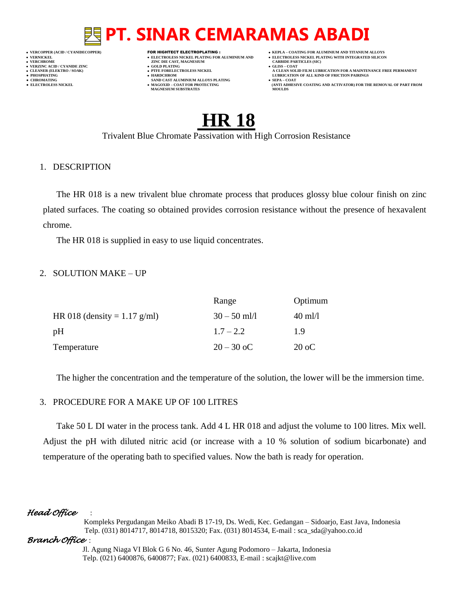# **PT. SINAR CEMARAMAS ABADI**

- **VERT ASSESSED ASSESSED ASSESSED ASSESSED ASSESSED ASSESSED ASSESSED ASSESSED ASSESSED ASSESSED ASSESSED ASSESSED ASSESSED ASSESSED ASSESSED ASSESSED ASSESSED ASSESSED ASSESSED ASSESSED ASSESSED ASSESSED ASSESSED ASSESSED VERZINC ACID / CYANIDE ZINC GOLD PLATING GLISS – COAT**
	-
- **● CHROMATING SAND CAST ALUMINIUM ALLOYS PLATING SEPA – COAT • MAGOXID – COAT FOR PROTECTING<br>MAGNESIUM SUBSTRATES**
- **VERCOPPER (ACID / CYANIDECOPPER)** FOR HIGHTECT ELECTROPLATING :  **KEPLA – COATING FOR ALUMINIUM AND TITANIUM ALLOYS**
- **VERNICKEL ELECTROLESS NICKEL PLATING FOR ALUMINIUM AND ELECTROLESS NICKEL PLATING WITH INTEGRATED SILICON**
	-
- CLEANER (ELEKTRO / SOAK)<br>● CLEANER (ELEKTRO / SOAK)<br>● PHOSPHATING<br>● HOSPHATING **● PHOSPHATING HARDCHROM LUBRICATION OF ALL KIND OF FRICTION PAIRINGS** 
	- **ELECTROLESS AND ACTIVATOR) FOR THE REMOVAL OF PART FROM (ANTI ADHESIVE COATING AND ACTIVATOR) FOR THE REMOVAL OF PART FROM <b>MOULDS**

# **HR 18**

Trivalent Blue Chromate Passivation with High Corrosion Resistance

# 1. DESCRIPTION

The HR 018 is a new trivalent blue chromate process that produces glossy blue colour finish on zinc plated surfaces. The coating so obtained provides corrosion resistance without the presence of hexavalent chrome.

The HR 018 is supplied in easy to use liquid concentrates.

# 2. SOLUTION MAKE – UP

|                              | Range          | Optimum           |
|------------------------------|----------------|-------------------|
| HR 018 (density = 1.17 g/ml) | $30 - 50$ ml/l | $40 \text{ ml}/l$ |
| рH                           | $1.7 - 2.2$    | 1.9               |
| Temperature                  | $20 - 30$ oC   | $20 \text{ oC}$   |

The higher the concentration and the temperature of the solution, the lower will be the immersion time.

# 3. PROCEDURE FOR A MAKE UP OF 100 LITRES

Take 50 L DI water in the process tank. Add 4 L HR 018 and adjust the volume to 100 litres. Mix well. Adjust the pH with diluted nitric acid (or increase with a 10 % solution of sodium bicarbonate) and temperature of the operating bath to specified values. Now the bath is ready for operation.

# *Head Office* :

 Kompleks Pergudangan Meiko Abadi B 17-19, Ds. Wedi, Kec. Gedangan – Sidoarjo, East Java, Indonesia Telp. (031) 8014717, 8014718, 8015320; Fax. (031) 8014534, E-mail : sca\_sda@yahoo.co.id

# *Branch Office* :

 Jl. Agung Niaga VI Blok G 6 No. 46, Sunter Agung Podomoro – Jakarta, Indonesia Telp. (021) 6400876, 6400877; Fax. (021) 6400833, E-mail : scajkt@live.com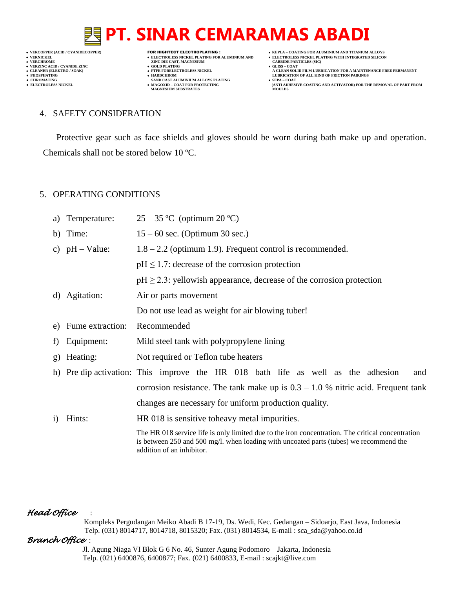# **PT. SINAR CEMARAMAS ABADI**

**VERNICKEL • ELECTROLESS NICKEL PLATING FOR ALUMINIUM AND**<br>• VERNICKEL PLATING WITH INTEGRATED SILICON<br>• VERCHROME **DELECTROLESS NICKEL PLATING WITH INTEGRATED SILICON**<br>• VERCHROME **CARBIDE PARTICLES** (SIC) **VERCHROME (ACID/CTANIDE ZINC )<br>
• VERCHROME 2INC DIE CAST, MAGNESIUM (CARBIDE PARTICLES (SICKEL PLATING FOR ALUMINIUM AND )<br>
• VERCHROME 2INC DIE CAST, MAGNESIUM (CARBIDE PARTICLES )<br>
• CLEANER (ELEKTRO / SOAK) (CLEANER (** 

- **v GOLD PLATING**<br>**• PTFE FORELECTROLESS NICKEL**
- 
- **PHOSPHATING HARDCHROM LUBRICATION OF ALL KIND OF FRICTION PAIRINGS ● CHROMATING SAND CAST ALUMINIUM ALLOYS PLATING SEPA – COAT MAGNESIUM SUBSTRATES MOULDS**
- **VERCOPPER (ACID / CYANIDECOPPER)** FOR HIGHTECT ELECTROPLATING :  **KEPLA – COATING FOR ALUMINIUM AND TITANIUM ALLOYS**
	-
	- **A CLEAN SOLID FILM LUBRICATION FOR A MAINTENANCE FREE PERMANENT**
- **● ELECTROLESS NICKEL MAGOXID – COAT FOR PROTECTING (ANTI ADHESIVE COATING AND ACTIVATOR) FOR THE REMOVAL OF PART FROM**

#### 4. SAFETY CONSIDERATION

Protective gear such as face shields and gloves should be worn during bath make up and operation. Chemicals shall not be stored below 10 ºC.

### 5. OPERATING CONDITIONS

| a)        | Temperature:      | $25-35$ °C (optimum 20 °C)                                                                                                                                                                                               |
|-----------|-------------------|--------------------------------------------------------------------------------------------------------------------------------------------------------------------------------------------------------------------------|
|           | b) Time:          | $15 - 60$ sec. (Optimum 30 sec.)                                                                                                                                                                                         |
|           | c) $pH - Value$ : | $1.8 - 2.2$ (optimum 1.9). Frequent control is recommended.                                                                                                                                                              |
|           |                   | $pH \leq 1.7$ : decrease of the corrosion protection                                                                                                                                                                     |
|           |                   | $pH \ge 2.3$ : yellowish appearance, decrease of the corrosion protection                                                                                                                                                |
| d)        | Agitation:        | Air or parts movement                                                                                                                                                                                                    |
|           |                   | Do not use lead as weight for air blowing tuber!                                                                                                                                                                         |
| e)        | Fume extraction:  | Recommended                                                                                                                                                                                                              |
| f)        | Equipment:        | Mild steel tank with polypropylene lining                                                                                                                                                                                |
| g)        | Heating:          | Not required or Teflon tube heaters                                                                                                                                                                                      |
|           |                   | h) Pre dip activation: This improve the HR 018 bath life as well as the adhesion<br>and                                                                                                                                  |
|           |                   | corrosion resistance. The tank make up is $0.3 - 1.0$ % nitric acid. Frequent tank                                                                                                                                       |
|           |                   | changes are necessary for uniform production quality.                                                                                                                                                                    |
| $\bf{1)}$ | Hints:            | HR 018 is sensitive to heavy metal impurities.                                                                                                                                                                           |
|           |                   | The HR 018 service life is only limited due to the iron concentration. The critical concentration<br>is between 250 and 500 mg/l. when loading with uncoated parts (tubes) we recommend the<br>addition of an inhibitor. |

# *Head Office* :

 Kompleks Pergudangan Meiko Abadi B 17-19, Ds. Wedi, Kec. Gedangan – Sidoarjo, East Java, Indonesia Telp. (031) 8014717, 8014718, 8015320; Fax. (031) 8014534, E-mail : sca\_sda@yahoo.co.id

### *Branch Office* :

 Jl. Agung Niaga VI Blok G 6 No. 46, Sunter Agung Podomoro – Jakarta, Indonesia Telp. (021) 6400876, 6400877; Fax. (021) 6400833, E-mail : scajkt@live.com